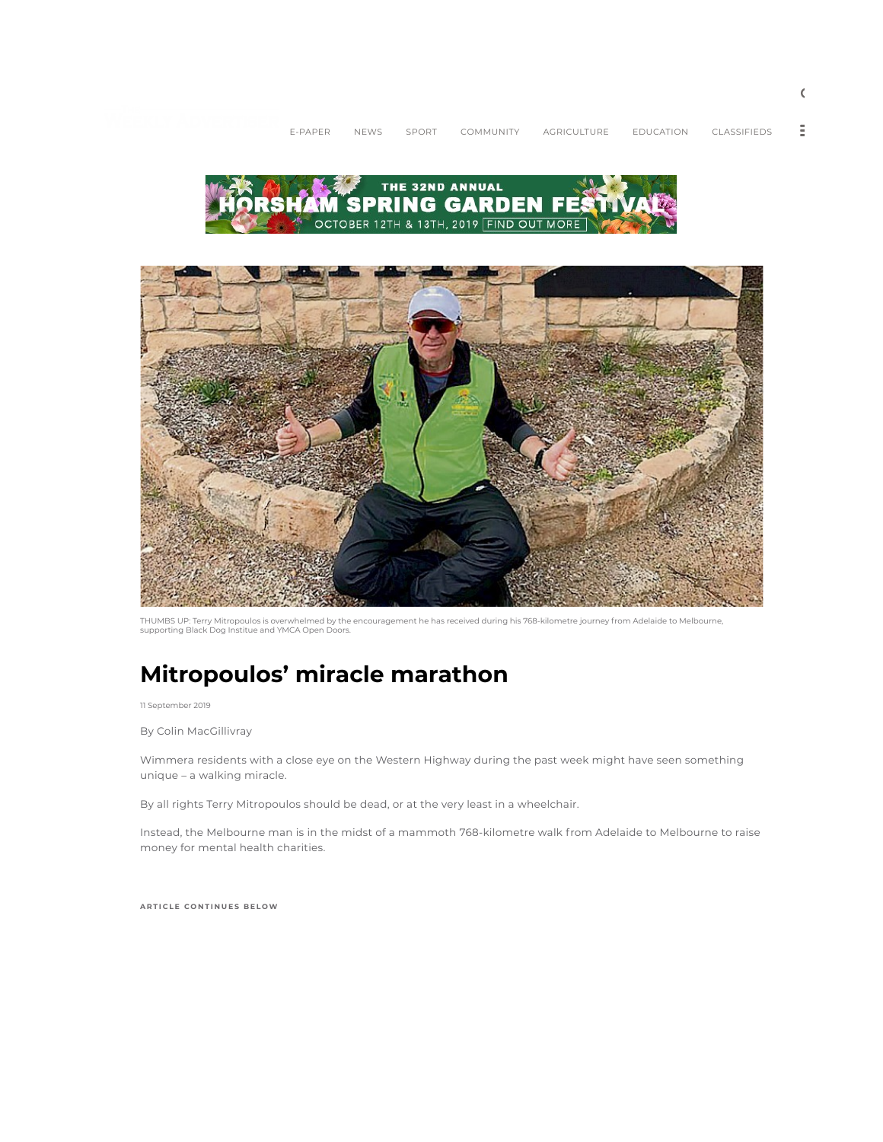



THUMBS UP: Terry Mitropoulos is overwhelmed by the encouragement he has received during his 768-kilometre journey from Adelaide to Melbourne, supporting Black Dog Institue and YMCA Open Doors.

# Mitropoulos' miracle marathon

11 September 2019

By Colin MacGillivray

Wimmera residents with a close eye on the Western Highway during the past week might have seen something unique – a walking miracle.

By all rights Terry Mitropoulos should be dead, or at the very least in a wheelchair.

Instead, the Melbourne man is in the midst of a mammoth 768-kilometre walk from Adelaide to Melbourne to raise money for mental health charities.

ARTICLE CONTINUES BELOW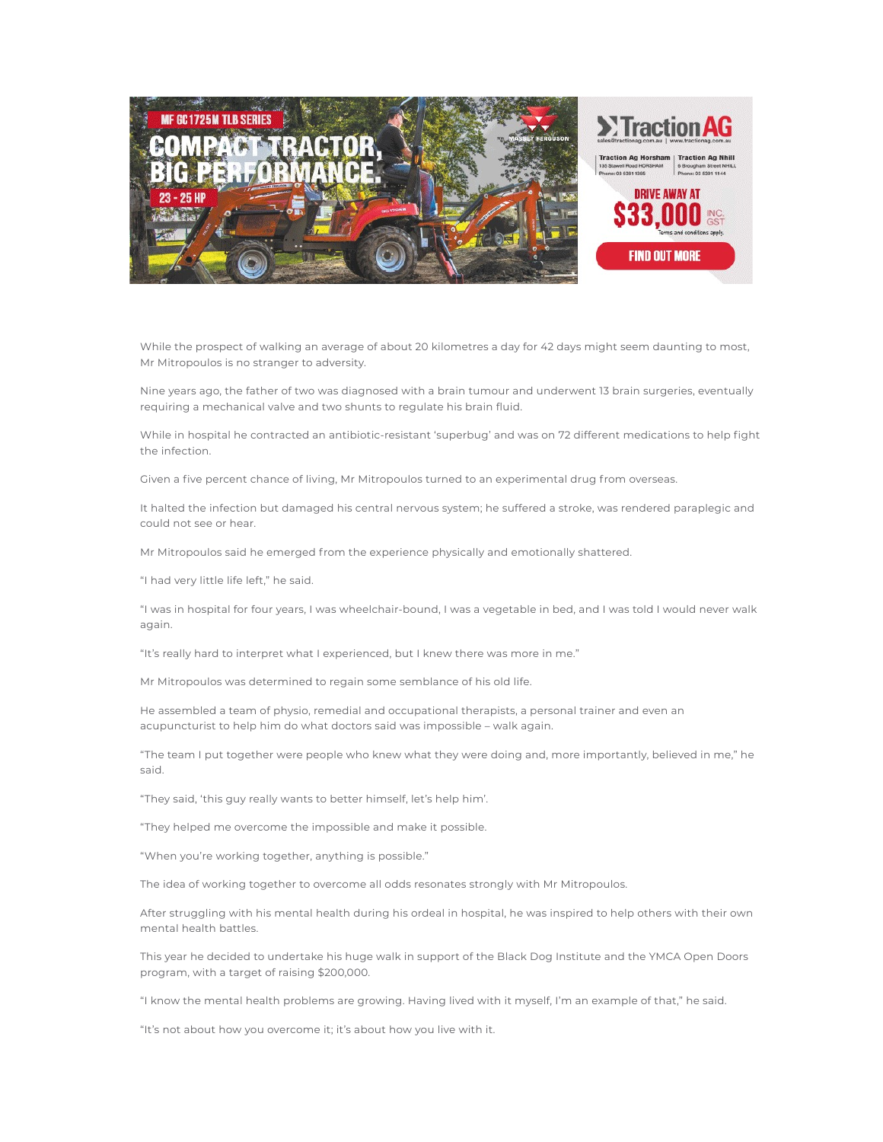

While the prospect of walking an average of about 20 kilometres a day for 42 days might seem daunting to most, Mr Mitropoulos is no stranger to adversity.

Nine years ago, the father of two was diagnosed with a brain tumour and underwent 13 brain surgeries, eventually requiring a mechanical valve and two shunts to regulate his brain fluid.

While in hospital he contracted an antibiotic-resistant 'superbug' and was on 72 different medications to help fight the infection.

Given a five percent chance of living, Mr Mitropoulos turned to an experimental drug from overseas.

It halted the infection but damaged his central nervous system; he suffered a stroke, was rendered paraplegic and could not see or hear.

Mr Mitropoulos said he emerged from the experience physically and emotionally shattered.

"I had very little life left," he said.

"I was in hospital for four years, I was wheelchair-bound, I was a vegetable in bed, and I was told I would never walk again.

"It's really hard to interpret what I experienced, but I knew there was more in me."

Mr Mitropoulos was determined to regain some semblance of his old life.

He assembled a team of physio, remedial and occupational therapists, a personal trainer and even an acupuncturist to help him do what doctors said was impossible – walk again.

"The team I put together were people who knew what they were doing and, more importantly, believed in me," he said.

"They said, 'this guy really wants to better himself, let's help him'.

"They helped me overcome the impossible and make it possible.

"When you're working together, anything is possible."

The idea of working together to overcome all odds resonates strongly with Mr Mitropoulos.

After struggling with his mental health during his ordeal in hospital, he was inspired to help others with their own mental health battles.

This year he decided to undertake his huge walk in support of the Black Dog Institute and the YMCA Open Doors program, with a target of raising \$200,000.

"I know the mental health problems are growing. Having lived with it myself, I'm an example of that," he said.

"It's not about how you overcome it; it's about how you live with it.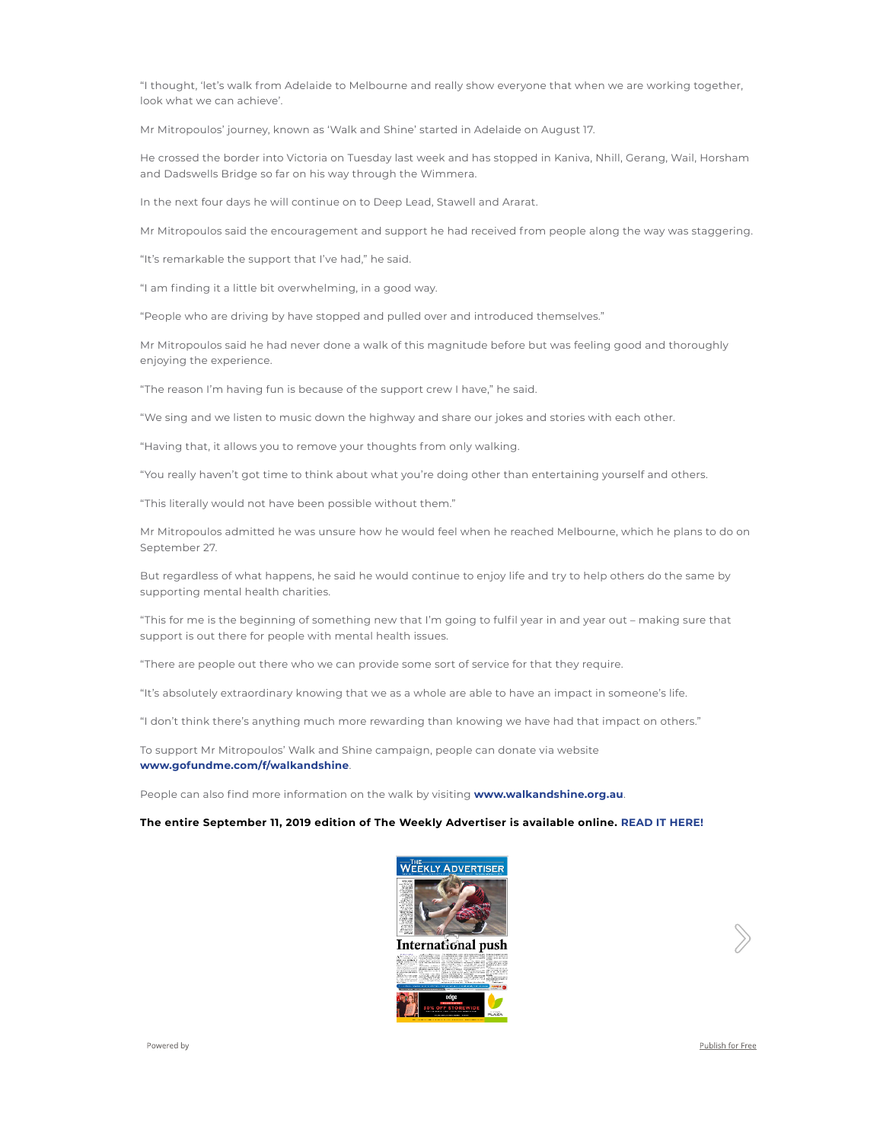"I thought, 'let's walk from Adelaide to Melbourne and really show everyone that when we are working together, look what we can achieve'.

Mr Mitropoulos' journey, known as 'Walk and Shine' started in Adelaide on August 17.

He crossed the border into Victoria on Tuesday last week and has stopped in Kaniva, Nhill, Gerang, Wail, Horsham and Dadswells Bridge so far on his way through the Wimmera.

In the next four days he will continue on to Deep Lead, Stawell and Ararat.

Mr Mitropoulos said the encouragement and support he had received from people along the way was staggering.

"It's remarkable the support that I've had," he said.

"I am finding it a little bit overwhelming, in a good way.

"People who are driving by have stopped and pulled over and introduced themselves."

Mr Mitropoulos said he had never done a walk of this magnitude before but was feeling good and thoroughly enjoying the experience.

"The reason I'm having fun is because of the support crew I have," he said.

"We sing and we listen to music down the highway and share our jokes and stories with each other.

"Having that, it allows you to remove your thoughts from only walking.

"You really haven't got time to think about what you're doing other than entertaining yourself and others.

"This literally would not have been possible without them."

Mr Mitropoulos admitted he was unsure how he would feel when he reached Melbourne, which he plans to do on September 27.

But regardless of what happens, he said he would continue to enjoy life and try to help others do the same by supporting mental health charities.

"This for me is the beginning of something new that I'm going to fulfil year in and year out – making sure that support is out there for people with mental health issues.

"There are people out there who we can provide some sort of service for that they require.

"It's absolutely extraordinary knowing that we as a whole are able to have an impact in someone's life.

"I don't think there's anything much more rewarding than knowing we have had that impact on others."

To support Mr Mitropoulos' Walk and Shine campaign, people can donate via website www.gofundme.com/f/walkandshine.

People can also find more information on the walk by visiting www.walkandshine.org.au.

#### The entire September 11, 2019 edition of The Weekly Advertiser is available online. READ IT HERE!